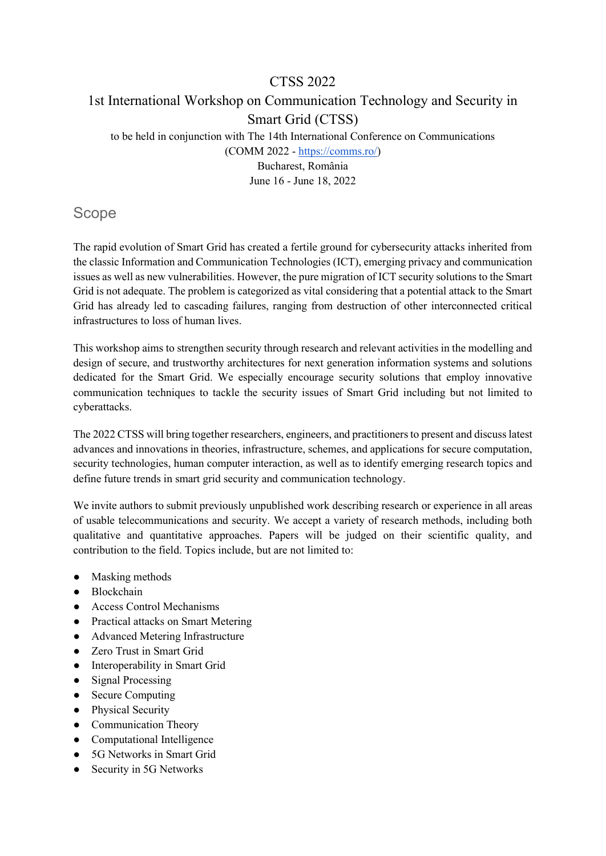#### CTSS 2022

# 1st International Workshop on Communication Technology and Security in Smart Grid (CTSS)

to be held in conjunction with The 14th International Conference on Communications

(COMM 2022 - [https://comms.ro/\)](https://comms.ro/)

Bucharest, România June 16 - June 18, 2022

# Scope

The rapid evolution of Smart Grid has created a fertile ground for cybersecurity attacks inherited from the classic Information and Communication Technologies (ICT), emerging privacy and communication issues as well as new vulnerabilities. However, the pure migration of ICT security solutions to the Smart Grid is not adequate. The problem is categorized as vital considering that a potential attack to the Smart Grid has already led to cascading failures, ranging from destruction of other interconnected critical infrastructures to loss of human lives.

This workshop aims to strengthen security through research and relevant activities in the modelling and design of secure, and trustworthy architectures for next generation information systems and solutions dedicated for the Smart Grid. We especially encourage security solutions that employ innovative communication techniques to tackle the security issues of Smart Grid including but not limited to cyberattacks.

The 2022 CTSS will bring together researchers, engineers, and practitioners to present and discuss latest advances and innovations in theories, infrastructure, schemes, and applications for secure computation, security technologies, human computer interaction, as well as to identify emerging research topics and define future trends in smart grid security and communication technology.

We invite authors to submit previously unpublished work describing research or experience in all areas of usable telecommunications and security. We accept a variety of research methods, including both qualitative and quantitative approaches. Papers will be judged on their scientific quality, and contribution to the field. Topics include, but are not limited to:

- Masking methods
- Blockchain
- Access Control Mechanisms
- Practical attacks on Smart Metering
- Advanced Metering Infrastructure
- Zero Trust in Smart Grid
- Interoperability in Smart Grid
- Signal Processing
- Secure Computing
- Physical Security
- Communication Theory
- Computational Intelligence
- 5G Networks in Smart Grid
- Security in 5G Networks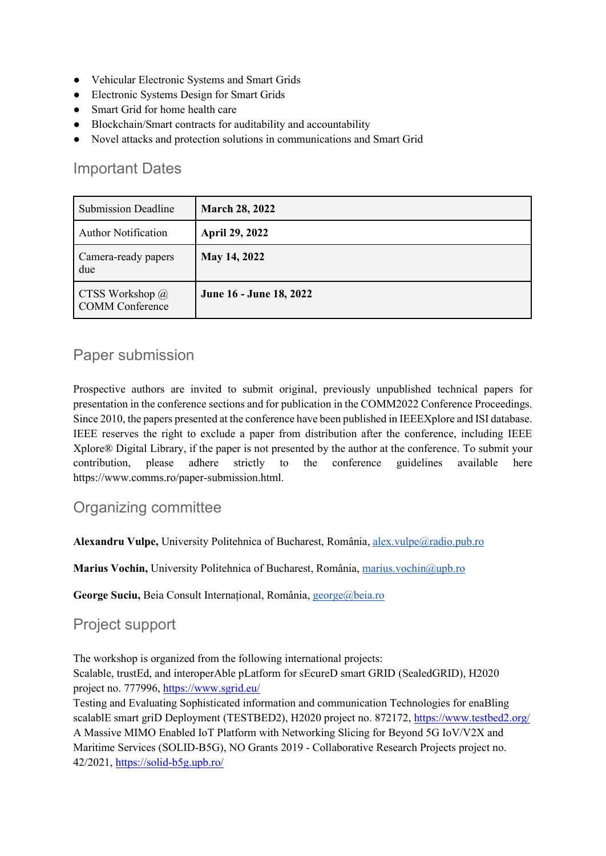- Vehicular Electronic Systems and Smart Grids
- Electronic Systems Design for Smart Grids
- Smart Grid for home health care
- Blockchain/Smart contracts for auditability and accountability
- Novel attacks and protection solutions in communications and Smart Grid

# Important Dates

| <b>Submission Deadline</b>                       | <b>March 28, 2022</b>   |
|--------------------------------------------------|-------------------------|
| <b>Author Notification</b>                       | <b>April 29, 2022</b>   |
| Camera-ready papers<br>due                       | May 14, 2022            |
| CTSS Workshop $\omega$<br><b>COMM</b> Conference | June 16 - June 18, 2022 |

# Paper submission

Prospective authors are invited to submit original, previously unpublished technical papers for presentation in the conference sections and for publication in the COMM2022 Conference Proceedings. Since 2010, the papers presented at the conference have been published in IEEEXplore and ISI database. IEEE reserves the right to exclude a paper from distribution after the conference, including IEEE Xplore® Digital Library, if the paper is not presented by the author at the conference. To submit your contribution, please adhere strictly to the conference guidelines available here https://www.comms.ro/paper-submission.html.

# Organizing committee

**Alexandru Vulpe,** University Politehnica of Bucharest, România[, alex.vulpe@radio.pub.ro](mailto:alex.vulpe@radio.pub.ro)

**Marius Vochin,** University Politehnica of Bucharest, România, [marius.vochin@upb.ro](mailto:marius.vochin@upb.ro)

**George Suciu,** Beia Consult Internațional, România, [george@beia.ro](mailto:george@beia.ro)

# Project support

The workshop is organized from the following international projects:

Scalable, trustEd, and interoperAble pLatform for sEcureD smart GRID [\(SealedGRID\)](http://sgrid.eu/), H2020 project no. 777996,<https://www.sgrid.eu/>

Testing and Evaluating Sophisticated information and communication Technologies for enaBling scalablE smart griD Deployment (TESTBED2), H2020 project no. 872172,<https://www.testbed2.org/> A Massive MIMO Enabled IoT Platform with Networking Slicing for Beyond 5G IoV/V2X and Maritime Services (SOLID-B5G), NO Grants 2019 - Collaborative Research Projects project no. 42/2021,<https://solid-b5g.upb.ro/>